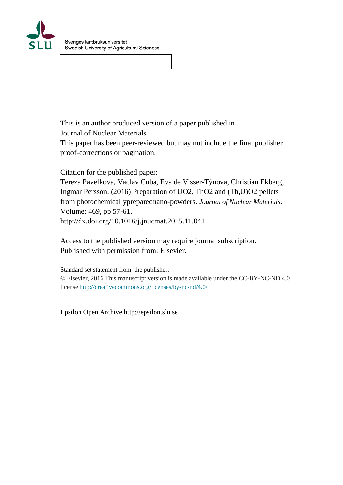

This is an author produced version of a paper published in Journal of Nuclear Materials.

This paper has been peer-reviewed but may not include the final publisher proof-corrections or pagination.

Citation for the published paper:

Tereza Pavelkova, Vaclav Cuba, Eva de Visser-Týnova, Christian Ekberg, Ingmar Persson. (2016) Preparation of UO2, ThO2 and (Th,U)O2 pellets from photochemicallypreparednano-powders. *Journal of Nuclear Materials*. Volume: 469, pp 57-61. http://dx.doi.org/10.1016/j.jnucmat.2015.11.041.

Access to the published version may require journal subscription. Published with permission from: Elsevier.

Standard set statement from the publisher: © Elsevier, 2016 This manuscript version is made available under the CC-BY-NC-ND 4.0 license<http://creativecommons.org/licenses/by-nc-nd/4.0/>

Epsilon Open Archive http://epsilon.slu.se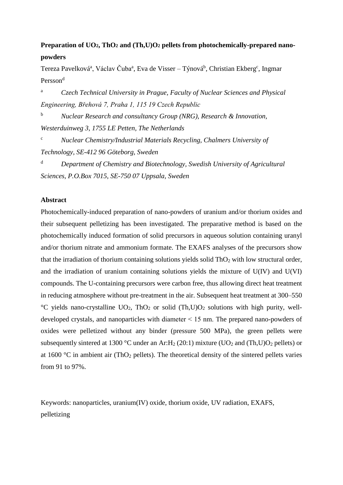# **Preparation of UO2, ThO<sup>2</sup> and (Th,U)O<sup>2</sup> pellets from photochemically-prepared nanopowders**

Tereza Pavelková<sup>a</sup>, Václav Čuba<sup>a</sup>, Eva de Visser – Týnová<sup>b</sup>, Christian Ekberg<sup>c</sup>, Ingmar Persson<sup>d</sup>

<sup>a</sup> *Czech Technical University in Prague, Faculty of Nuclear Sciences and Physical Engineering, Břehová 7, Praha 1, 115 19 Czech Republic*

<sup>b</sup> *Nuclear Research and consultancy Group (NRG), Research & Innovation, Westerduinweg 3, 1755 LE Petten, The Netherlands*

<sup>c</sup> *Nuclear Chemistry/Industrial Materials Recycling, Chalmers University of Technology, SE-412 96 Göteborg, Sweden*

<sup>d</sup> *Department of Chemistry and Biotechnology, Swedish University of Agricultural Sciences, P.O.Box 7015, SE-750 07 Uppsala, Sweden*

# **Abstract**

Photochemically-induced preparation of nano-powders of uranium and/or thorium oxides and their subsequent pelletizing has been investigated. The preparative method is based on the photochemically induced formation of solid precursors in aqueous solution containing uranyl and/or thorium nitrate and ammonium formate. The EXAFS analyses of the precursors show that the irradiation of thorium containing solutions yields solid  $ThO<sub>2</sub>$  with low structural order, and the irradiation of uranium containing solutions yields the mixture of U(IV) and U(VI) compounds. The U-containing precursors were carbon free, thus allowing direct heat treatment in reducing atmosphere without pre-treatment in the air. Subsequent heat treatment at 300–550  $\rm{°C}$  yields nano-crystalline UO<sub>2</sub>, ThO<sub>2</sub> or solid (Th,U)O<sub>2</sub> solutions with high purity, welldeveloped crystals, and nanoparticles with diameter ˂ 15 nm. The prepared nano-powders of oxides were pelletized without any binder (pressure 500 MPa), the green pellets were subsequently sintered at 1300 °C under an Ar:  $H_2$  (20:1) mixture (UO<sub>2</sub> and (Th,U)O<sub>2</sub> pellets) or at 1600  $^{\circ}$ C in ambient air (ThO<sub>2</sub> pellets). The theoretical density of the sintered pellets varies from 91 to 97%.

Keywords: nanoparticles, uranium(IV) oxide, thorium oxide, UV radiation, EXAFS, pelletizing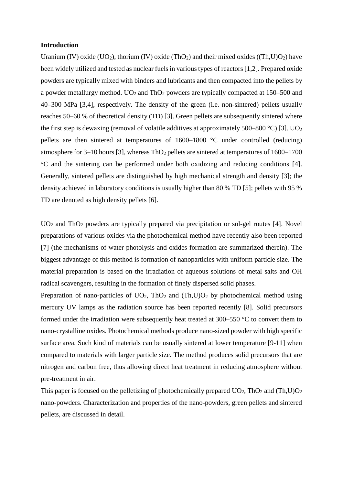#### **Introduction**

Uranium (IV) oxide (UO<sub>2</sub>), thorium (IV) oxide (ThO<sub>2</sub>) and their mixed oxides ((Th,U)O<sub>2</sub>) have been widely utilized and tested as nuclear fuels in various types of reactors [1,2]. Prepared oxide powders are typically mixed with binders and lubricants and then compacted into the pellets by a powder metallurgy method.  $UO_2$  and Th $O_2$  powders are typically compacted at 150–500 and 40–300 MPa [3,4], respectively. The density of the green (i.e. non-sintered) pellets usually reaches 50–60 % of theoretical density (TD) [3]. Green pellets are subsequently sintered where the first step is dewaxing (removal of volatile additives at approximately 500–800  $\degree$ C) [3]. UO<sub>2</sub> pellets are then sintered at temperatures of 1600–1800 °C under controlled (reducing) atmosphere for  $3-10$  hours [3], whereas ThO<sub>2</sub> pellets are sintered at temperatures of  $1600-1700$ °C and the sintering can be performed under both oxidizing and reducing conditions [4]. Generally, sintered pellets are distinguished by high mechanical strength and density [3]; the density achieved in laboratory conditions is usually higher than 80 % TD [5]; pellets with 95 % TD are denoted as high density pellets [6].

UO<sub>2</sub> and ThO<sub>2</sub> powders are typically prepared via precipitation or sol-gel routes [4]. Novel preparations of various oxides via the photochemical method have recently also been reported [7] (the mechanisms of water photolysis and oxides formation are summarized therein). The biggest advantage of this method is formation of nanoparticles with uniform particle size. The material preparation is based on the irradiation of aqueous solutions of metal salts and OH radical scavengers, resulting in the formation of finely dispersed solid phases.

Preparation of nano-particles of  $UO_2$ , Th $O_2$  and (Th,U) $O_2$  by photochemical method using mercury UV lamps as the radiation source has been reported recently [8]. Solid precursors formed under the irradiation were subsequently heat treated at 300–550 °C to convert them to nano-crystalline oxides. Photochemical methods produce nano-sized powder with high specific surface area. Such kind of materials can be usually sintered at lower temperature [9-11] when compared to materials with larger particle size. The method produces solid precursors that are nitrogen and carbon free, thus allowing direct heat treatment in reducing atmosphere without pre-treatment in air.

This paper is focused on the pelletizing of photochemically prepared  $UO_2$ , Th $O_2$  and (Th,U) $O_2$ nano-powders. Characterization and properties of the nano-powders, green pellets and sintered pellets, are discussed in detail.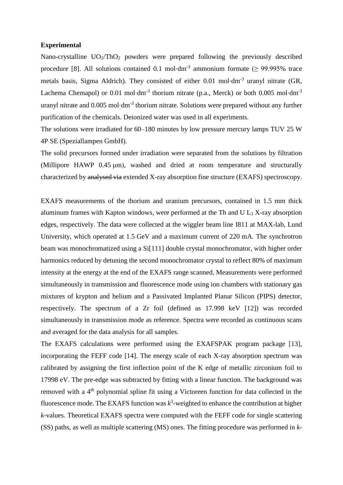## **Experimental**

Nano-crystalline  $UO_2/ThO_2$  powders were prepared following the previously described procedure [8]. All solutions contained 0.1 mol⋅dm<sup>-3</sup> ammonium formate ( $\geq$  99.995% trace metals basis, Sigma Aldrich). They consisted of either 0.01 mol⋅dm<sup>-3</sup> uranyl nitrate (GR, Lachema Chemapol) or 0.01 mol⋅dm<sup>-3</sup> thorium nitrate (p.a., Merck) or both 0.005 mol⋅dm<sup>-3</sup> uranyl nitrate and 0.005 mol⋅dm<sup>-3</sup> thorium nitrate. Solutions were prepared without any further purification of the chemicals. Deionized water was used in all experiments.

The solutions were irradiated for 60–180 minutes by low pressure mercury lamps TUV 25 W 4P SE (Speziallampen GmbH).

The solid precursors formed under irradiation were separated from the solutions by filtration (Millipore HAWP 0.45 μm), washed and dried at room temperature and structurally characterized by analysed via extended X-ray absorption fine structure (EXAFS) spectroscopy.

EXAFS measurements of the thorium and uranium precursors, contained in 1.5 mm thick aluminum frames with Kapton windows, were performed at the Th and U  $\text{L}_3$  X-ray absorption edges, respectively. The data were collected at the wiggler beam line I811 at MAX-lab, Lund University, which operated at 1.5 GeV and a maximum current of 220 mA. The synchrotron beam was monochromatized using a Si[111] double crystal monochromator, with higher order harmonics reduced by detuning the second monochromator crystal to reflect 80% of maximum intensity at the energy at the end of the EXAFS range scanned. Measurements were performed simultaneously in transmission and fluorescence mode using ion chambers with stationary gas mixtures of krypton and helium and a Passivated Implanted Planar Silicon (PIPS) detector, respectively. The spectrum of a Zr foil (defined as 17.998 keV [12]) was recorded simultaneously in transmission mode as reference. Spectra were recorded as continuous scans and averaged for the data analysis for all samples.

The EXAFS calculations were performed using the EXAFSPAK program package [13], incorporating the FEFF code [14]. The energy scale of each X-ray absorption spectrum was calibrated by assigning the first inflection point of the K edge of metallic zirconium foil to 17998 eV. The pre-edge was subtracted by fitting with a linear function. The background was removed with a 4th polynomial spline fit using a Victoreen function for data collected in the fluorescence mode. The EXAFS function was  $k^3$ -weighted to enhance the contribution at higher *k*-values. Theoretical EXAFS spectra were computed with the FEFF code for single scattering (SS) paths, as well as multiple scattering (MS) ones. The fitting procedure was performed in *k*-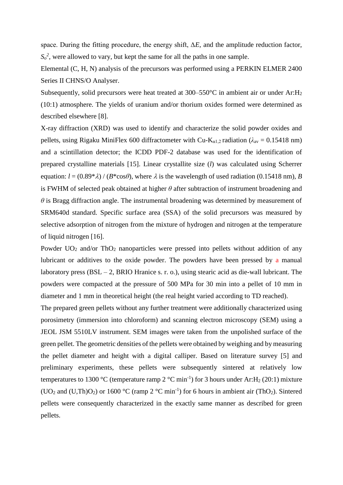space. During the fitting procedure, the energy shift, Δ*E,* and the amplitude reduction factor,  $S_0^2$ , were allowed to vary, but kept the same for all the paths in one sample.

Elemental (C, H, N) analysis of the precursors was performed using a PERKIN ELMER 2400 Series II CHNS/O Analyser.

Subsequently, solid precursors were heat treated at 300–550°C in ambient air or under Ar:H<sub>2</sub> (10:1) atmosphere. The yields of uranium and/or thorium oxides formed were determined as described elsewhere [8].

X-ray diffraction (XRD) was used to identify and characterize the solid powder oxides and pellets, using Rigaku MiniFlex 600 diffractometer with Cu-K<sub>α1,2</sub> radiation ( $\lambda_{av} = 0.15418$  nm) and a scintillation detector; the ICDD PDF-2 database was used for the identification of prepared crystalline materials [15]. Linear crystallite size (*l*) was calculated using Scherrer equation:  $l = (0.89^* \lambda) / (B^* \cos \theta)$ , where  $\lambda$  is the wavelength of used radiation (0.15418 nm), *B* is FWHM of selected peak obtained at higher *θ* after subtraction of instrument broadening and *θ* is Bragg diffraction angle. The instrumental broadening was determined by measurement of SRM640d standard. Specific surface area (SSA) of the solid precursors was measured by selective adsorption of nitrogen from the mixture of hydrogen and nitrogen at the temperature of liquid nitrogen [16].

Powder UO<sub>2</sub> and/or ThO<sub>2</sub> nanoparticles were pressed into pellets without addition of any lubricant or additives to the oxide powder. The powders have been pressed by a manual laboratory press (BSL – 2, BRIO Hranice s. r. o.), using stearic acid as die-wall lubricant. The powders were compacted at the pressure of 500 MPa for 30 min into a pellet of 10 mm in diameter and 1 mm in theoretical height (the real height varied according to TD reached).

The prepared green pellets without any further treatment were additionally characterized using porosimetry (immersion into chloroform) and scanning electron microscopy (SEM) using a JEOL JSM 5510LV instrument. SEM images were taken from the unpolished surface of the green pellet. The geometric densities of the pellets were obtained by weighing and by measuring the pellet diameter and height with a digital calliper. Based on literature survey [5] and preliminary experiments, these pellets were subsequently sintered at relatively low temperatures to 1300 °C (temperature ramp 2 °C min<sup>-1</sup>) for 3 hours under Ar: H<sub>2</sub> (20:1) mixture (UO<sub>2</sub> and (U,Th)O<sub>2</sub>) or 1600 °C (ramp 2 °C min<sup>-1</sup>) for 6 hours in ambient air (ThO<sub>2</sub>). Sintered pellets were consequently characterized in the exactly same manner as described for green pellets.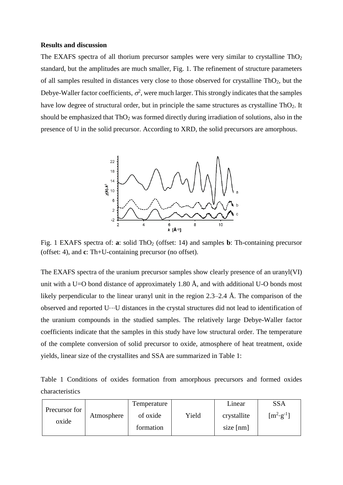#### **Results and discussion**

The EXAFS spectra of all thorium precursor samples were very similar to crystalline  $ThO<sub>2</sub>$ standard, but the amplitudes are much smaller, Fig. 1. The refinement of structure parameters of all samples resulted in distances very close to those observed for crystalline ThO2, but the Debye-Waller factor coefficients,  $\sigma^2$ , were much larger. This strongly indicates that the samples have low degree of structural order, but in principle the same structures as crystalline  $ThO<sub>2</sub>$ . It should be emphasized that  $ThO<sub>2</sub>$  was formed directly during irradiation of solutions, also in the presence of U in the solid precursor. According to XRD, the solid precursors are amorphous.



Fig. 1 EXAFS spectra of: **a**: solid ThO<sub>2</sub> (offset: 14) and samples **b**: Th-containing precursor (offset: 4), and **c**: Th+U-containing precursor (no offset).

The EXAFS spectra of the uranium precursor samples show clearly presence of an uranyl(VI) unit with a U=O bond distance of approximately 1.80 Å, and with additional U-O bonds most likely perpendicular to the linear uranyl unit in the region 2.3–2.4 Å. The comparison of the observed and reported U⋅⋅⋅U distances in the crystal structures did not lead to identification of the uranium compounds in the studied samples. The relatively large Debye-Waller factor coefficients indicate that the samples in this study have low structural order. The temperature of the complete conversion of solid precursor to oxide, atmosphere of heat treatment, oxide yields, linear size of the crystallites and SSA are summarized in Table 1:

|                 |  |  |  | Table 1 Conditions of oxides formation from amorphous precursors and formed oxides |  |  |
|-----------------|--|--|--|------------------------------------------------------------------------------------|--|--|
| characteristics |  |  |  |                                                                                    |  |  |

|               |            | Temperature |       | Linear      | <b>SSA</b>           |
|---------------|------------|-------------|-------|-------------|----------------------|
| Precursor for | Atmosphere | of oxide    | Yield | crystallite | $[m^2 \cdot g^{-1}]$ |
| oxide         |            | formation   |       | size [nm]   |                      |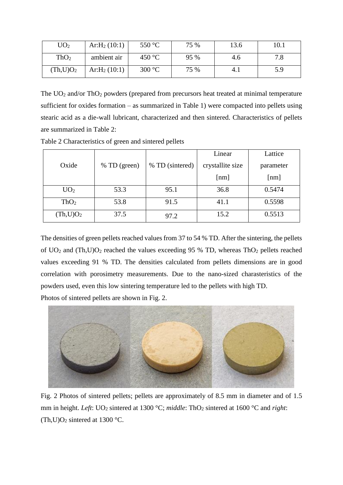| UO <sub>2</sub>       | $Ar:H_2(10:1)$ | 550 $\mathrm{^{\circ}C}$ | 75 % | 13.6 | 10.1 |
|-----------------------|----------------|--------------------------|------|------|------|
| ThO <sub>2</sub>      | ambient air    | 450 °C                   | 95 % | 4.6  | 7.8  |
| (Th, U)O <sub>2</sub> | $Ar:H_2(10:1)$ | 300 °C                   | 75 % | 4.1  | 5.9  |

The  $UO<sub>2</sub>$  and/or Th $O<sub>2</sub>$  powders (prepared from precursors heat treated at minimal temperature sufficient for oxides formation – as summarized in Table 1) were compacted into pellets using stearic acid as a die-wall lubricant, characterized and then sintered. Characteristics of pellets are summarized in Table 2:

|                       |              |                 | Linear           | Lattice   |  |
|-----------------------|--------------|-----------------|------------------|-----------|--|
| Oxide                 | % TD (green) | % TD (sintered) | crystallite size | parameter |  |
|                       |              |                 | [nm]             | [nm]      |  |
| UO <sub>2</sub>       | 53.3         | 95.1            | 36.8             | 0.5474    |  |
| ThO <sub>2</sub>      | 53.8         | 91.5            | 41.1             | 0.5598    |  |
| (Th, U)O <sub>2</sub> | 37.5         | 97.2            | 15.2             | 0.5513    |  |

Table 2 Characteristics of green and sintered pellets

The densities of green pellets reached values from 37 to 54 % TD. After the sintering, the pellets of  $UO<sub>2</sub>$  and  $(Th, U)O<sub>2</sub>$  reached the values exceeding 95 % TD, whereas Th $O<sub>2</sub>$  pellets reached values exceeding 91 % TD. The densities calculated from pellets dimensions are in good correlation with porosimetry measurements. Due to the nano-sized charasteristics of the powders used, even this low sintering temperature led to the pellets with high TD.

Photos of sintered pellets are shown in Fig. 2.



Fig. 2 Photos of sintered pellets; pellets are approximately of 8.5 mm in diameter and of 1.5 mm in height. *Left*: UO<sub>2</sub> sintered at 1300 °C; *middle*: ThO<sub>2</sub> sintered at 1600 °C and *right*: (Th,U)O<sub>2</sub> sintered at 1300 °C.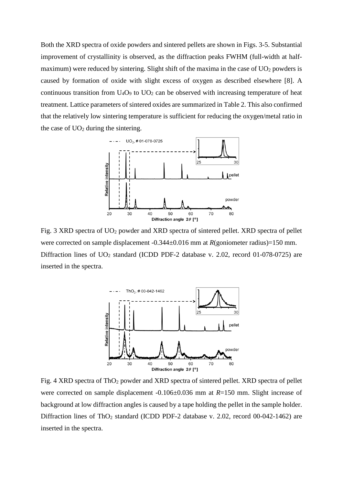Both the XRD spectra of oxide powders and sintered pellets are shown in Figs. 3-5. Substantial improvement of crystallinity is observed, as the diffraction peaks FWHM (full-width at halfmaximum) were reduced by sintering. Slight shift of the maxima in the case of  $UO<sub>2</sub>$  powders is caused by formation of oxide with slight excess of oxygen as described elsewhere [8]. A continuous transition from  $U_4O_9$  to  $UO_2$  can be observed with increasing temperature of heat treatment. Lattice parameters of sintered oxides are summarized in Table 2. This also confirmed that the relatively low sintering temperature is sufficient for reducing the oxygen/metal ratio in the case of  $UO<sub>2</sub>$  during the sintering.



Fig. 3 XRD spectra of UO<sup>2</sup> powder and XRD spectra of sintered pellet. XRD spectra of pellet were corrected on sample displacement -0.344±0.016 mm at *R*(goniometer radius)=150 mm. Diffraction lines of  $UO<sub>2</sub>$  standard (ICDD PDF-2 database v. 2.02, record 01-078-0725) are inserted in the spectra.



Fig. 4 XRD spectra of ThO<sub>2</sub> powder and XRD spectra of sintered pellet. XRD spectra of pellet were corrected on sample displacement -0.106±0.036 mm at *R*=150 mm. Slight increase of background at low diffraction angles is caused by a tape holding the pellet in the sample holder. Diffraction lines of ThO<sub>2</sub> standard (ICDD PDF-2 database v. 2.02, record 00-042-1462) are inserted in the spectra.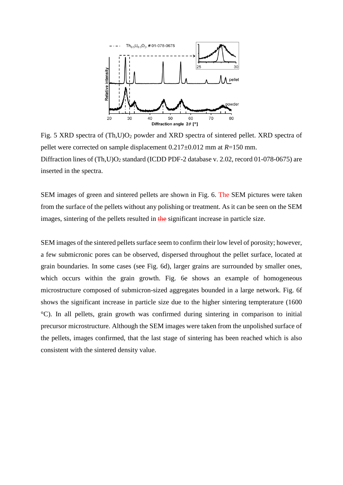

Fig. 5 XRD spectra of (Th,U)O<sup>2</sup> powder and XRD spectra of sintered pellet. XRD spectra of pellet were corrected on sample displacement 0.217±0.012 mm at *R*=150 mm. Diffraction lines of  $(Th, U)O<sub>2</sub>$  standard (ICDD PDF-2 database v. 2.02, record 01-078-0675) are inserted in the spectra.

SEM images of green and sintered pellets are shown in Fig. 6. The SEM pictures were taken from the surface of the pellets without any polishing or treatment. As it can be seen on the SEM images, sintering of the pellets resulted in the significant increase in particle size.

SEM images of the sintered pellets surface seem to confirm their low level of porosity; however, a few submicronic pores can be observed, dispersed throughout the pellet surface, located at grain boundaries. In some cases (see Fig. 6d), larger grains are surrounded by smaller ones, which occurs within the grain growth. Fig. 6e shows an example of homogeneous microstructure composed of submicron-sized aggregates bounded in a large network. Fig. 6f shows the significant increase in particle size due to the higher sintering tempterature (1600 °C). In all pellets, grain growth was confirmed during sintering in comparison to initial precursor microstructure. Although the SEM images were taken from the unpolished surface of the pellets, images confirmed, that the last stage of sintering has been reached which is also consistent with the sintered density value.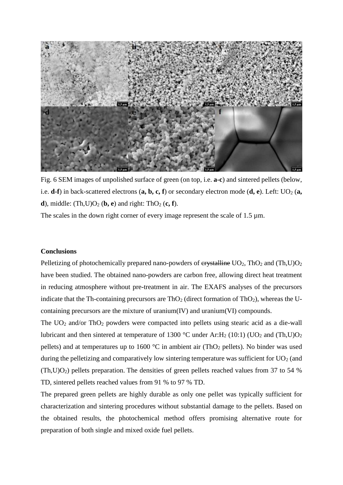

Fig. 6 SEM images of unpolished surface of green (on top, i.e. **a-c**) and sintered pellets (below, i.e.  $\mathbf{d} \cdot \mathbf{f}$ ) in back-scattered electrons  $(\mathbf{a}, \mathbf{b}, \mathbf{c}, \mathbf{f})$  or secondary electron mode  $(\mathbf{d}, \mathbf{e})$ . Left: UO<sub>2</sub>  $(\mathbf{a}, \mathbf{e})$ **d**), middle:  $(Th, U)O<sub>2</sub>$  (**b**, **e**) and right: ThO<sub>2</sub> (**c**, **f**).

The scales in the down right corner of every image represent the scale of  $1.5 \mu m$ .

### **Conclusions**

Pelletizing of photochemically prepared nano-powders of  $\frac{1}{2}$ ,  $\frac{1}{2}$ ,  $\frac{1}{2}$  and  $\frac{1}{2}$ ,  $\frac{1}{2}$ have been studied. The obtained nano-powders are carbon free, allowing direct heat treatment in reducing atmosphere without pre-treatment in air. The EXAFS analyses of the precursors indicate that the Th-containing precursors are  $ThO<sub>2</sub>$  (direct formation of ThO<sub>2</sub>), whereas the Ucontaining precursors are the mixture of uranium(IV) and uranium(VI) compounds.

The  $UO<sub>2</sub>$  and/or Th $O<sub>2</sub>$  powders were compacted into pellets using stearic acid as a die-wall lubricant and then sintered at temperature of 1300 °C under Ar: H<sub>2</sub> (10:1) (UO<sub>2</sub> and (Th,U)O<sub>2</sub> pellets) and at temperatures up to 1600  $^{\circ}$ C in ambient air (ThO<sub>2</sub> pellets). No binder was used during the pelletizing and comparatively low sintering temperature was sufficient for  $UO<sub>2</sub>$  (and  $(Th, U)O<sub>2</sub>$ ) pellets preparation. The densities of green pellets reached values from 37 to 54 % TD, sintered pellets reached values from 91 % to 97 % TD.

The prepared green pellets are highly durable as only one pellet was typically sufficient for characterization and sintering procedures without substantial damage to the pellets. Based on the obtained results, the photochemical method offers promising alternative route for preparation of both single and mixed oxide fuel pellets.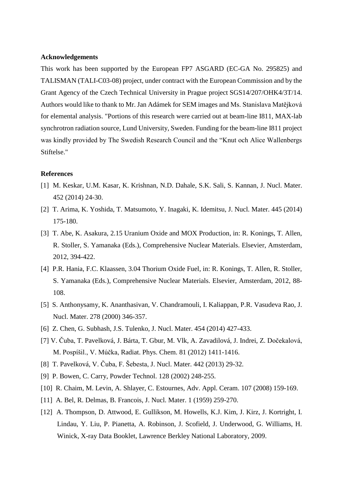#### **Acknowledgements**

This work has been supported by the European FP7 ASGARD (EC-GA No. 295825) and TALISMAN (TALI-C03-08) project, under contract with the European Commission and by the Grant Agency of the Czech Technical University in Prague project SGS14/207/OHK4/3T/14. Authors would like to thank to Mr. Jan Adámek for SEM images and Ms. Stanislava Matějková for elemental analysis. "Portions of this research were carried out at beam-line I811, MAX-lab synchrotron radiation source, Lund University, Sweden. Funding for the beam-line I811 project was kindly provided by The Swedish Research Council and the "Knut och Alice Wallenbergs Stiftelse."

# **References**

- [1] M. Keskar, U.M. Kasar, K. Krishnan, N.D. Dahale, S.K. Sali, S. Kannan, J. Nucl. Mater. 452 (2014) 24-30.
- [2] T. Arima, K. Yoshida, T. Matsumoto, Y. Inagaki, K. Idemitsu, J. Nucl. Mater. 445 (2014) 175-180.
- [3] T. Abe, K. Asakura, 2.15 Uranium Oxide and MOX Production, in: R. Konings, T. Allen, R. Stoller, S. Yamanaka (Eds.), Comprehensive Nuclear Materials. Elsevier, Amsterdam, 2012, 394-422.
- [4] P.R. Hania, F.C. Klaassen, 3.04 Thorium Oxide Fuel, in: R. Konings, T. Allen, R. Stoller, S. Yamanaka (Eds.), Comprehensive Nuclear Materials. Elsevier, Amsterdam, 2012, 88- 108.
- [5] S. Anthonysamy, K. Ananthasivan, V. Chandramouli, I. Kaliappan, P.R. Vasudeva Rao, J. Nucl. Mater. 278 (2000) 346-357.
- [6] Z. Chen, G. Subhash, J.S. Tulenko, J. Nucl. Mater. 454 (2014) 427-433.
- [7] V. Čuba, T. Pavelková, J. Bárta, T. Gbur, M. Vlk, A. Zavadilová, J. Indrei, Z. Dočekalová, M. Pospíšil., V. Múčka, Radiat. Phys. Chem. 81 (2012) 1411-1416.
- [8] T. Pavelková, V. Čuba, F. Šebesta, J. Nucl. Mater. 442 (2013) 29-32.
- [9] P. Bowen, C. Carry, Powder Technol. 128 (2002) 248-255.
- [10] R. Chaim, M. Levin, A. Shlayer, C. Estournes, Adv. Appl. Ceram. 107 (2008) 159-169.
- [11] A. Bel, R. Delmas, B. Francois, J. Nucl. Mater. 1 (1959) 259-270.
- [12] A. Thompson, D. Attwood, E. Gullikson, M. Howells, K.J. Kim, J. Kirz, J. Kortright, I. Lindau, Y. Liu, P. Pianetta, A. Robinson, J. Scofield, J. Underwood, G. Williams, H. Winick, X-ray Data Booklet, Lawrence Berkley National Laboratory, 2009.